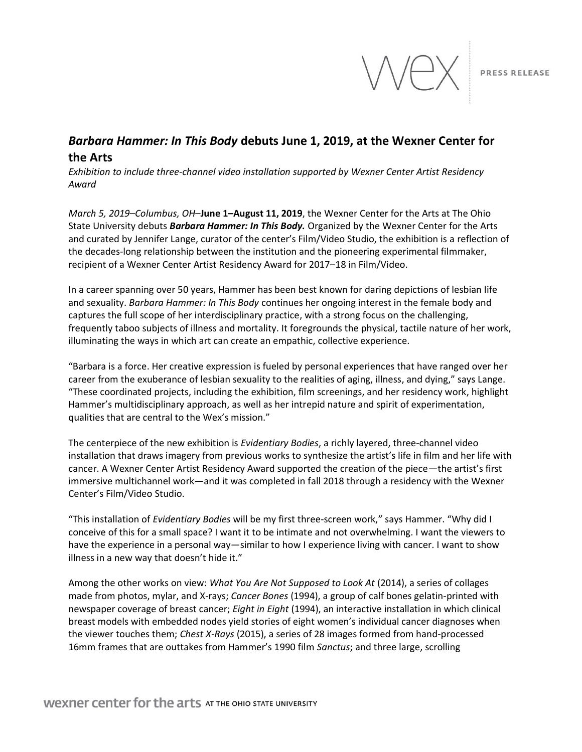

# *Barbara Hammer: In This Body* **debuts June 1, 2019, at the Wexner Center for the Arts**

*Exhibition to include three-channel video installation supported by Wexner Center Artist Residency Award*

*March 5, 2019–Columbus, OH*–**June 1–August 11, 2019**, the Wexner Center for the Arts at The Ohio State University debuts *Barbara Hammer: In This Body.* Organized by the Wexner Center for the Arts and curated by Jennifer Lange, curator of the center's Film/Video Studio, the exhibition is a reflection of the decades-long relationship between the institution and the pioneering experimental filmmaker, recipient of a Wexner Center Artist Residency Award for 2017–18 in Film/Video.

In a career spanning over 50 years, Hammer has been best known for daring depictions of lesbian life and sexuality. *Barbara Hammer: In This Body* continues her ongoing interest in the female body and captures the full scope of her interdisciplinary practice, with a strong focus on the challenging, frequently taboo subjects of illness and mortality. It foregrounds the physical, tactile nature of her work, illuminating the ways in which art can create an empathic, collective experience.

"Barbara is a force. Her creative expression is fueled by personal experiences that have ranged over her career from the exuberance of lesbian sexuality to the realities of aging, illness, and dying," says Lange. "These coordinated projects, including the exhibition, film screenings, and her residency work, highlight Hammer's multidisciplinary approach, as well as her intrepid nature and spirit of experimentation, qualities that are central to the Wex's mission."

The centerpiece of the new exhibition is *Evidentiary Bodies*, a richly layered, three-channel video installation that draws imagery from previous works to synthesize the artist's life in film and her life with cancer. A Wexner Center Artist Residency Award supported the creation of the piece—the artist's first immersive multichannel work—and it was completed in fall 2018 through a residency with the Wexner Center's Film/Video Studio.

"This installation of *Evidentiary Bodies* will be my first three-screen work," says Hammer. "Why did I conceive of this for a small space? I want it to be intimate and not overwhelming. I want the viewers to have the experience in a personal way—similar to how I experience living with cancer. I want to show illness in a new way that doesn't hide it."

Among the other works on view: *What You Are Not Supposed to Look At* (2014), a series of collages made from photos, mylar, and X-rays; *Cancer Bones* (1994), a group of calf bones gelatin-printed with newspaper coverage of breast cancer; *Eight in Eight* (1994), an interactive installation in which clinical breast models with embedded nodes yield stories of eight women's individual cancer diagnoses when the viewer touches them; *Chest X-Rays* (2015), a series of 28 images formed from hand-processed 16mm frames that are outtakes from Hammer's 1990 film *Sanctus*; and three large, scrolling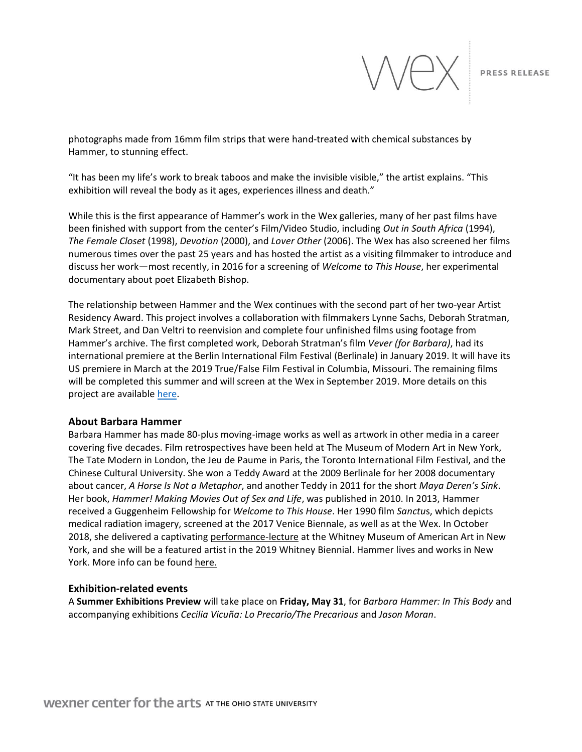

photographs made from 16mm film strips that were hand-treated with chemical substances by Hammer, to stunning effect.

"It has been my life's work to break taboos and make the invisible visible," the artist explains. "This exhibition will reveal the body as it ages, experiences illness and death."

While this is the first appearance of Hammer's work in the Wex galleries, many of her past films have been finished with support from the center's Film/Video Studio, including *Out in South Africa* (1994), *The Female Closet* (1998), *Devotion* (2000), and *Lover Other* (2006). The Wex has also screened her films numerous times over the past 25 years and has hosted the artist as a visiting filmmaker to introduce and discuss her work—most recently, in 2016 for a screening of *Welcome to This House*, her experimental documentary about poet Elizabeth Bishop.

The relationship between Hammer and the Wex continues with the second part of her two-year Artist Residency Award. This project involves a collaboration with filmmakers Lynne Sachs, Deborah Stratman, Mark Street, and Dan Veltri to reenvision and complete four unfinished films using footage from Hammer's archive. The first completed work, Deborah Stratman's film *Vever (for Barbara)*, had its international premiere at the Berlin International Film Festival (Berlinale) in January 2019. It will have its US premiere in March at the 2019 True/False Film Festival in Columbia, Missouri. The remaining films will be completed this summer and will screen at the Wex in September 2019. More details on this project are available [here.](https://wexarts.org/artist-residency/barbara-hammer)

#### **About Barbara Hammer**

Barbara Hammer has made 80-plus moving-image works as well as artwork in other media in a career covering five decades. Film retrospectives have been held at The Museum of Modern Art in New York, The Tate Modern in London, the Jeu de Paume in Paris, the Toronto International Film Festival, and the Chinese Cultural University. She won a Teddy Award at the 2009 Berlinale for her 2008 documentary about cancer, *A Horse Is Not a Metaphor*, and another Teddy in 2011 for the short *Maya Deren's Sink*. Her book, *Hammer! Making Movies Out of Sex and Life*, was published in 2010. In 2013, Hammer received a Guggenheim Fellowship for *Welcome to This House*. Her 1990 film *Sanctu*s, which depicts medical radiation imagery, screened at the 2017 Venice Biennale, as well as at the Wex. In October 2018, she delivered a captivating [performance-lecture](https://youtu.be/FMeoAx9dZkI) at the Whitney Museum of American Art in New York, and she will be a featured artist in the 2019 Whitney Biennial. Hammer lives and works in New York. More info can be found [here.](http://barbarahammer.com/)

### **Exhibition-related events**

A **Summer Exhibitions Preview** will take place on **Friday, May 31**, for *Barbara Hammer: In This Body* and accompanying exhibitions *Cecilia Vicuña: Lo Precario/The Precarious* and *Jason Moran*.